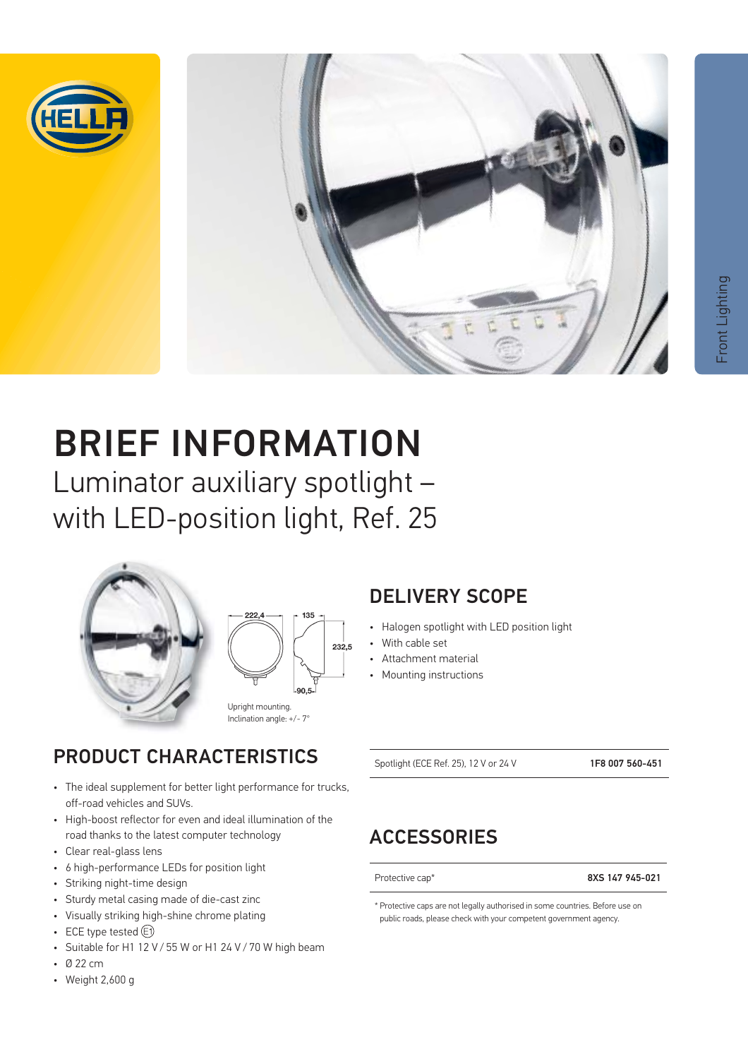



# BRIEF INFORMATION

Luminator auxiliary spotlight – with LED-position light, Ref. 25





Upright mounting. Inclination angle: +/- 7°

### PRODUCT CHARACTERISTICS

- The ideal supplement for better light performance for trucks, off-road vehicles and SUVs.
- High-boost reflector for even and ideal illumination of the road thanks to the latest computer technology
- Clear real-glass lens
- 6 high-performance LEDs for position light
- Striking night-time design
- Sturdy metal casing made of die-cast zinc
- Visually striking high-shine chrome plating
- ECE type tested  $(F)$
- Suitable for H1 12 V / 55 W or H1 24 V / 70 W high beam
- Ø 22 cm
- Weight 2,600 g

### DELIVERY SCOPE

- Halogen spotlight with LED position light
- With cable set
- Attachment material
- Mounting instructions

Spotlight (ECE Ref. 25), 12 V or 24 V 1F8 007 560-451

### **ACCESSORIES**

Protective cap<sup>\*</sup> 8XS 147 945-021

\* Protective caps are not legally authorised in some countries. Before use on public roads, please check with your competent government agency.